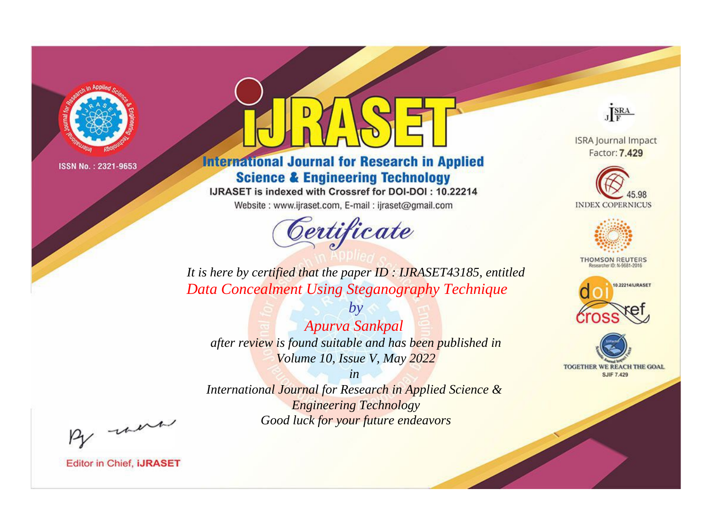

# **International Journal for Research in Applied Science & Engineering Technology**

IJRASET is indexed with Crossref for DOI-DOI: 10.22214

Website: www.ijraset.com, E-mail: ijraset@gmail.com



JERA

**ISRA Journal Impact** Factor: 7.429





**THOMSON REUTERS** 



TOGETHER WE REACH THE GOAL **SJIF 7.429** 

*It is here by certified that the paper ID : IJRASET43185, entitled Data Concealment Using Steganography Technique*

*Apurva Sankpal after review is found suitable and has been published in Volume 10, Issue V, May 2022*

*by*

*in* 

*International Journal for Research in Applied Science & Engineering Technology Good luck for your future endeavors*

By morn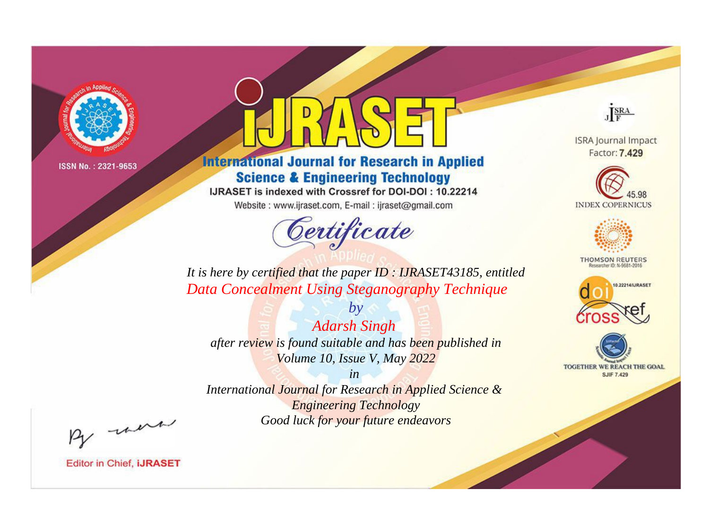

# **International Journal for Research in Applied Science & Engineering Technology**

IJRASET is indexed with Crossref for DOI-DOI: 10.22214

Website: www.ijraset.com, E-mail: ijraset@gmail.com



JERA

**ISRA Journal Impact** Factor: 7.429





**THOMSON REUTERS** 



TOGETHER WE REACH THE GOAL **SJIF 7.429** 

*It is here by certified that the paper ID : IJRASET43185, entitled Data Concealment Using Steganography Technique*

*by Adarsh Singh after review is found suitable and has been published in Volume 10, Issue V, May 2022*

*in* 

*International Journal for Research in Applied Science & Engineering Technology Good luck for your future endeavors*

By morn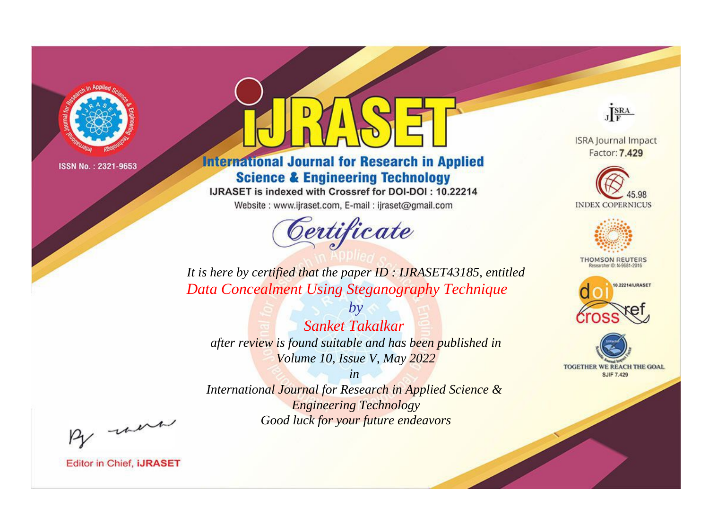

# **International Journal for Research in Applied Science & Engineering Technology**

IJRASET is indexed with Crossref for DOI-DOI: 10.22214

Website: www.ijraset.com, E-mail: ijraset@gmail.com



JERA

**ISRA Journal Impact** Factor: 7.429





**THOMSON REUTERS** 



TOGETHER WE REACH THE GOAL **SJIF 7.429** 

*It is here by certified that the paper ID : IJRASET43185, entitled Data Concealment Using Steganography Technique*

*by Sanket Takalkar after review is found suitable and has been published in Volume 10, Issue V, May 2022*

*in* 

*International Journal for Research in Applied Science & Engineering Technology Good luck for your future endeavors*

By morn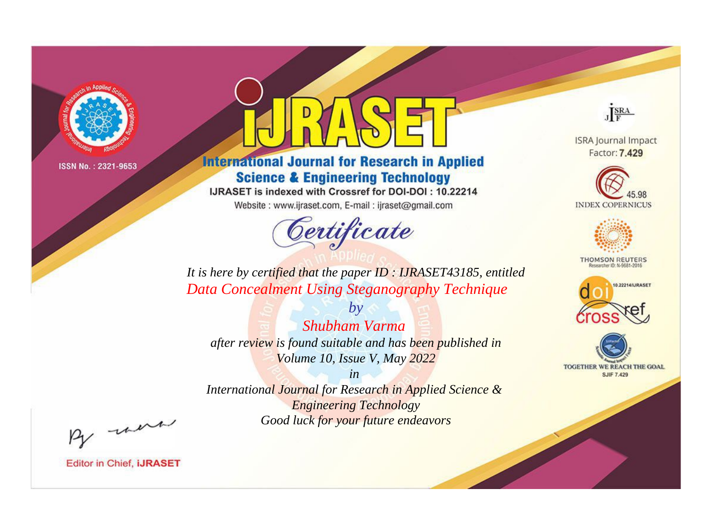

# **International Journal for Research in Applied Science & Engineering Technology**

IJRASET is indexed with Crossref for DOI-DOI: 10.22214

Website: www.ijraset.com, E-mail: ijraset@gmail.com



JERA

**ISRA Journal Impact** Factor: 7.429





**THOMSON REUTERS** 

![](_page_3_Picture_12.jpeg)

TOGETHER WE REACH THE GOAL **SJIF 7.429** 

*It is here by certified that the paper ID : IJRASET43185, entitled Data Concealment Using Steganography Technique*

*Shubham Varma after review is found suitable and has been published in Volume 10, Issue V, May 2022*

*by*

*in* 

*International Journal for Research in Applied Science & Engineering Technology Good luck for your future endeavors*

By morn